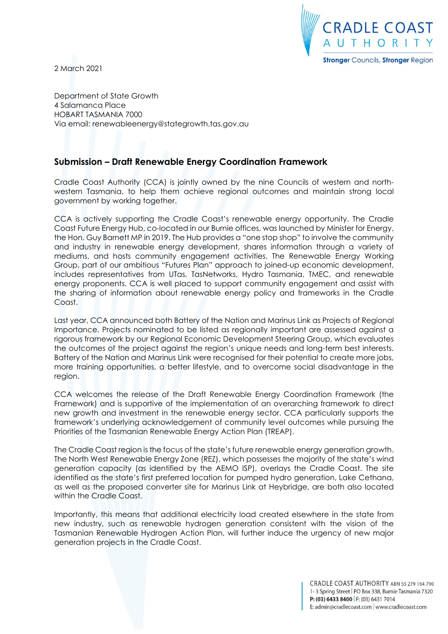

2 March 2021

Department of State Growth 4 Salamanca Place HOBART TASMANIA 7000 Via email: renewableenergy@stategrowth.tas.gov.au

## **Submission – Draft Renewable Energy Coordination Framework**

Cradle Coast Authority (CCA) is jointly owned by the nine Councils of western and northwestern Tasmania, to help them achieve regional outcomes and maintain strong local government by working together.

CCA is actively supporting the Cradle Coast's renewable energy opportunity. The Cradle Coast Future Energy Hub, co-located in our Burnie offices, was launched by Minister for Energy, the Hon. Guy Barnett MP in 2019. The Hub provides a "one stop shop" to involve the community and industry in renewable energy development, shares information through a variety of mediums, and hosts community engagement activities. The Renewable Energy Working Group, part of our ambitious "Futures Plan" approach to joined-up economic development, includes representatives from UTas, TasNetworks, Hydro Tasmania, TMEC, and renewable energy proponents. CCA is well placed to support community engagement and assist with the sharing of information about renewable energy policy and frameworks in the Cradle Coast.

Last year, CCA announced both Battery of the Nation and Marinus Link as Projects of Regional Importance. Projects nominated to be listed as regionally important are assessed against a rigorous framework by our Regional Economic Development Steering Group, which evaluates the outcomes of the project against the region's unique needs and long-term best interests. Battery of the Nation and Marinus Link were recognised for their potential to create more jobs, more training opportunities, a better lifestyle, and to overcome social disadvantage in the region.

CCA welcomes the release of the Draft Renewable Energy Coordination Framework (the Framework) and is supportive of the implementation of an overarching framework to direct new growth and investment in the renewable energy sector. CCA particularly supports the framework's underlying acknowledgement of community level outcomes while pursuing the Priorities of the Tasmanian Renewable Energy Action Plan (TREAP).

The Cradle Coast region is the focus of the state's future renewable energy generation growth. The North West Renewable Energy Zone (REZ), which possesses the majority of the state's wind generation capacity (as identified by the AEMO ISP), overlays the Cradle Coast. The site identified as the state's first preferred location for pumped hydro generation, Lake Cethana, as well as the proposed converter site for Marinus Link at Heybridge, are both also located within the Cradle Coast.

Importantly, this means that additional electricity load created elsewhere in the state from new industry, such as renewable hydrogen generation consistent with the vision of the Tasmanian Renewable Hydrogen Action Plan, will further induce the urgency of new major generation projects in the Cradle Coast.